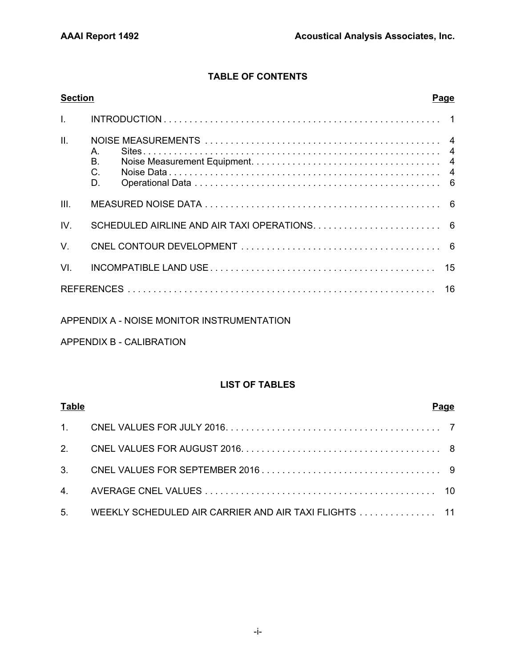AAAI Report 1492 AAAI Project 88018

#### QUARTERLY NOISE MONITORING AT HOLLYWOOD BURBANK AIRPORT THIRD QUARTER 2016

NOVEMBER 2016

Prepared for:

Burbank-Glendale-Pasadena Airport Authority 2627 Hollywood Way Burbank, CA 91505

Prepared by:

Acoustical Analysis Associates, Inc. 950 Enchanted Way, Suite 105 Simi Valley, CA 93065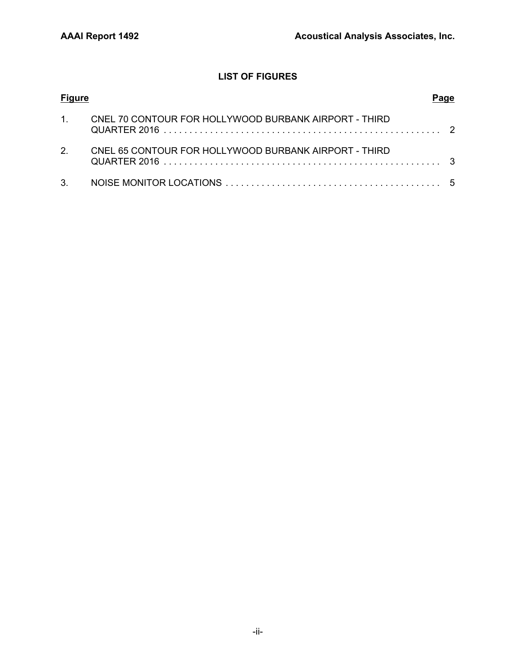## **TABLE OF CONTENTS**

| <b>Section</b>  | <b>Page</b>                  |
|-----------------|------------------------------|
|                 |                              |
| $\mathbf{II}$ . | $A_{1}$<br>Β.<br>$C$ .<br>D. |
| III.            |                              |
| IV.             |                              |
| $V_{\perp}$     |                              |
| VI.             |                              |
|                 |                              |

#### APPENDIX A - NOISE MONITOR INSTRUMENTATION

## APPENDIX B - CALIBRATION

#### **LIST OF TABLES**

| <b>Table</b> |                                                         | Page |
|--------------|---------------------------------------------------------|------|
|              |                                                         |      |
|              |                                                         |      |
|              |                                                         |      |
|              |                                                         |      |
|              | 5. WEEKLY SCHEDULED AIR CARRIER AND AIR TAXI FLIGHTS 11 |      |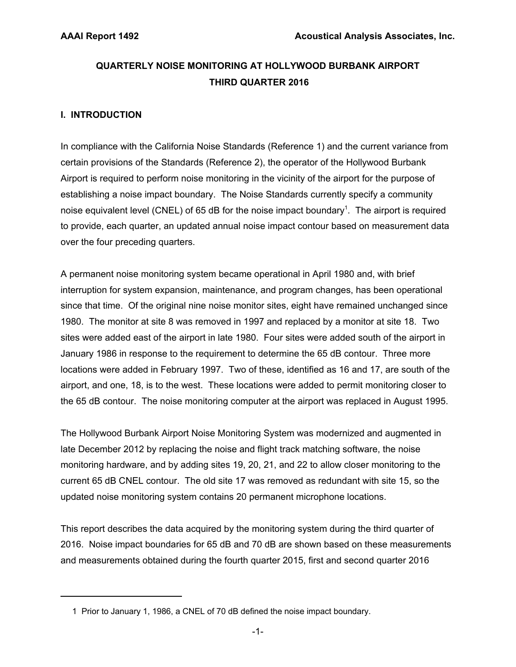## **LIST OF FIGURES**

| <b>Figure</b> |                                                       |  |
|---------------|-------------------------------------------------------|--|
| $\mathbf{1}$  | CNEL 70 CONTOUR FOR HOLLYWOOD BURBANK AIRPORT - THIRD |  |
| $\mathcal{P}$ | CNEL 65 CONTOUR FOR HOLLYWOOD BURBANK AIRPORT - THIRD |  |
|               |                                                       |  |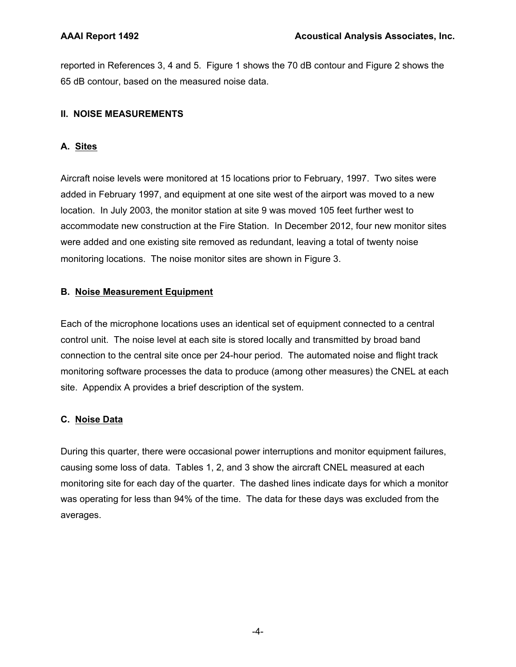## **QUARTERLY NOISE MONITORING AT HOLLYWOOD BURBANK AIRPORT THIRD QUARTER 2016**

## **I. INTRODUCTION**

In compliance with the California Noise Standards (Reference 1) and the current variance from certain provisions of the Standards (Reference 2), the operator of the Hollywood Burbank Airport is required to perform noise monitoring in the vicinity of the airport for the purpose of establishing a noise impact boundary. The Noise Standards currently specify a community noise equivalent level (CNEL) of 65 dB for the noise impact boundary<sup>1</sup>. The airport is required to provide, each quarter, an updated annual noise impact contour based on measurement data over the four preceding quarters.

A permanent noise monitoring system became operational in April 1980 and, with brief interruption for system expansion, maintenance, and program changes, has been operational since that time. Of the original nine noise monitor sites, eight have remained unchanged since 1980. The monitor at site 8 was removed in 1997 and replaced by a monitor at site 18. Two sites were added east of the airport in late 1980. Four sites were added south of the airport in January 1986 in response to the requirement to determine the 65 dB contour. Three more locations were added in February 1997. Two of these, identified as 16 and 17, are south of the airport, and one, 18, is to the west. These locations were added to permit monitoring closer to the 65 dB contour. The noise monitoring computer at the airport was replaced in August 1995.

The Hollywood Burbank Airport Noise Monitoring System was modernized and augmented in late December 2012 by replacing the noise and flight track matching software, the noise monitoring hardware, and by adding sites 19, 20, 21, and 22 to allow closer monitoring to the current 65 dB CNEL contour. The old site 17 was removed as redundant with site 15, so the updated noise monitoring system contains 20 permanent microphone locations.

This report describes the data acquired by the monitoring system during the third quarter of 2016. Noise impact boundaries for 65 dB and 70 dB are shown based on these measurements and measurements obtained during the fourth quarter 2015, first and second quarter 2016

 <sup>1</sup> Prior to January 1, 1986, a CNEL of 70 dB defined the noise impact boundary.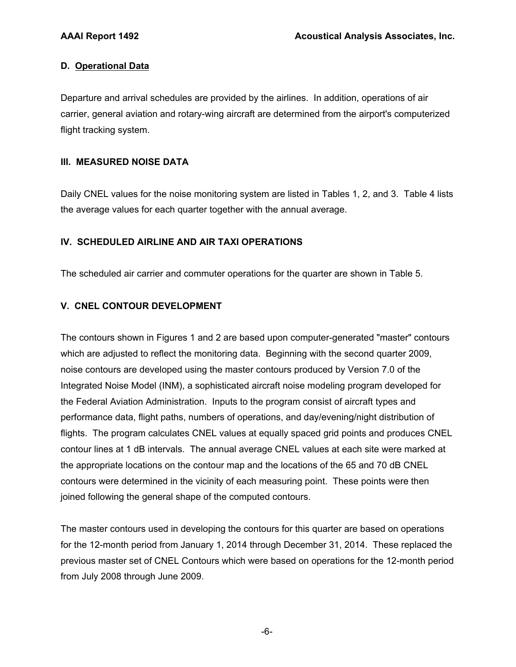reported in References 3, 4 and 5. Figure 1 shows the 70 dB contour and Figure 2 shows the 65 dB contour, based on the measured noise data.

### **II. NOISE MEASUREMENTS**

## **A. Sites**

Aircraft noise levels were monitored at 15 locations prior to February, 1997. Two sites were added in February 1997, and equipment at one site west of the airport was moved to a new location. In July 2003, the monitor station at site 9 was moved 105 feet further west to accommodate new construction at the Fire Station. In December 2012, four new monitor sites were added and one existing site removed as redundant, leaving a total of twenty noise monitoring locations. The noise monitor sites are shown in Figure 3.

#### **B. Noise Measurement Equipment**

Each of the microphone locations uses an identical set of equipment connected to a central control unit. The noise level at each site is stored locally and transmitted by broad band connection to the central site once per 24-hour period. The automated noise and flight track monitoring software processes the data to produce (among other measures) the CNEL at each site. Appendix A provides a brief description of the system.

## **C. Noise Data**

During this quarter, there were occasional power interruptions and monitor equipment failures, causing some loss of data. Tables 1, 2, and 3 show the aircraft CNEL measured at each monitoring site for each day of the quarter. The dashed lines indicate days for which a monitor was operating for less than 94% of the time. The data for these days was excluded from the averages.

-4-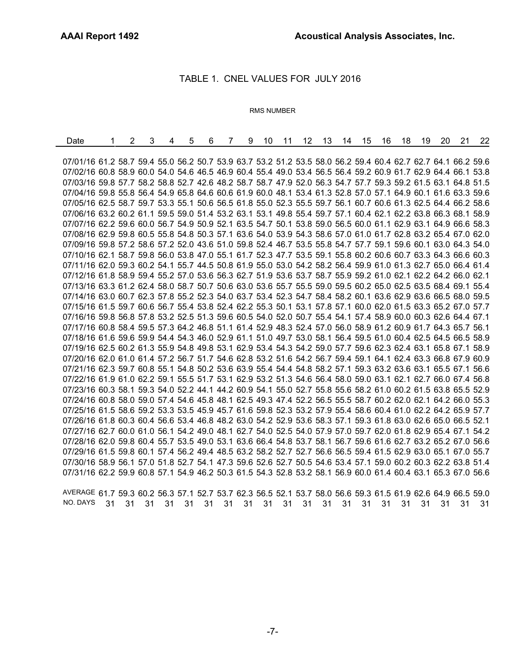#### **D. Operational Data**

Departure and arrival schedules are provided by the airlines. In addition, operations of air carrier, general aviation and rotary-wing aircraft are determined from the airport's computerized flight tracking system.

#### **III. MEASURED NOISE DATA**

Daily CNEL values for the noise monitoring system are listed in Tables 1, 2, and 3. Table 4 lists the average values for each quarter together with the annual average.

#### **IV. SCHEDULED AIRLINE AND AIR TAXI OPERATIONS**

The scheduled air carrier and commuter operations for the quarter are shown in Table 5.

#### **V. CNEL CONTOUR DEVELOPMENT**

The contours shown in Figures 1 and 2 are based upon computer-generated "master" contours which are adjusted to reflect the monitoring data. Beginning with the second quarter 2009, noise contours are developed using the master contours produced by Version 7.0 of the Integrated Noise Model (INM), a sophisticated aircraft noise modeling program developed for the Federal Aviation Administration. Inputs to the program consist of aircraft types and performance data, flight paths, numbers of operations, and day/evening/night distribution of flights. The program calculates CNEL values at equally spaced grid points and produces CNEL contour lines at 1 dB intervals. The annual average CNEL values at each site were marked at the appropriate locations on the contour map and the locations of the 65 and 70 dB CNEL contours were determined in the vicinity of each measuring point. These points were then joined following the general shape of the computed contours.

The master contours used in developing the contours for this quarter are based on operations for the 12-month period from January 1, 2014 through December 31, 2014. These replaced the previous master set of CNEL Contours which were based on operations for the 12-month period from July 2008 through June 2009.

-6-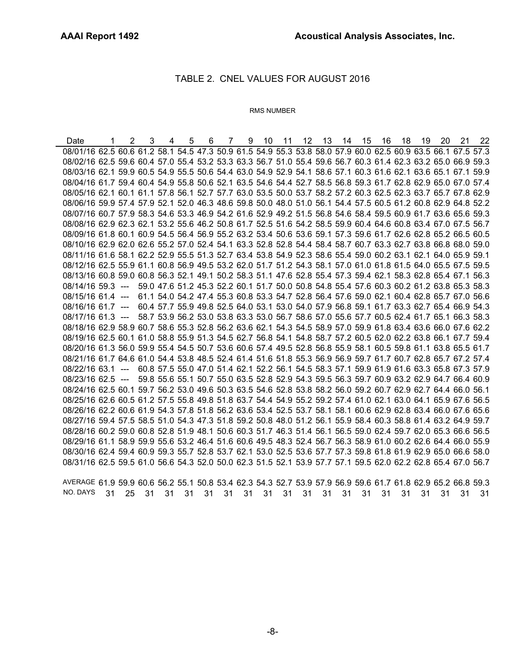÷,

#### TABLE 1. CNEL VALUES FOR JULY 2016

#### RMS NUMBER

| Date                                                                                                         | $\overline{2}$ | 3 | 4 | 5 | 6 | $\overline{7}$ | 9 | 10 | 11 | 12 | 13 | 14 | 15 | 16 | 18 | 19 | 20 | 21 | 22 |
|--------------------------------------------------------------------------------------------------------------|----------------|---|---|---|---|----------------|---|----|----|----|----|----|----|----|----|----|----|----|----|
|                                                                                                              |                |   |   |   |   |                |   |    |    |    |    |    |    |    |    |    |    |    |    |
| 07/01/16 61.2 58.7 59.4 55.0 56.2 50.7 53.9 63.7 53.2 51.2 53.5 58.0 56.2 59.4 60.4 62.7 62.7 64.1 66.2 59.6 |                |   |   |   |   |                |   |    |    |    |    |    |    |    |    |    |    |    |    |
| 07/02/16 60.8 58.9 60.0 54.0 54.6 46.5 46.9 60.4 55.4 49.0 53.4 56.5 56.4 59.2 60.9 61.7 62.9 64.4 66.1 53.8 |                |   |   |   |   |                |   |    |    |    |    |    |    |    |    |    |    |    |    |
| 07/03/16 59.8 57.7 58.2 58.8 52.7 42.6 48.2 58.7 58.7 47.9 52.0 56.3 54.7 57.7 59.3 59.2 61.5 63.1 64.8 51.5 |                |   |   |   |   |                |   |    |    |    |    |    |    |    |    |    |    |    |    |
| 07/04/16 59.8 55.8 56.4 54.9 65.8 64.6 60.6 61.9 60.0 48.1 53.4 61.3 52.8 57.0 57.1 64.9 60.1 61.6 63.3 59.6 |                |   |   |   |   |                |   |    |    |    |    |    |    |    |    |    |    |    |    |
| 07/05/16 62.5 58.7 59.7 53.3 55.1 50.6 56.5 61.8 55.0 52.3 55.5 59.7 56.1 60.7 60.6 61.3 62.5 64.4 66.2 58.6 |                |   |   |   |   |                |   |    |    |    |    |    |    |    |    |    |    |    |    |
| 07/06/16 63.2 60.2 61.1 59.5 59.0 51.4 53.2 63.1 53.1 49.8 55.4 59.7 57.1 60.4 62.1 62.2 63.8 66.3 68.1 58.9 |                |   |   |   |   |                |   |    |    |    |    |    |    |    |    |    |    |    |    |
| 07/07/16 62.2 59.6 60.0 56.7 54.9 50.9 52.1 63.5 54.7 50.1 53.8 59.0 56.5 60.0 61.1 62.9 63.1 64.9 66.6 58.3 |                |   |   |   |   |                |   |    |    |    |    |    |    |    |    |    |    |    |    |
| 07/08/16 62.9 59.8 60.5 55.8 54.8 50.3 57.1 63.6 54.0 53.9 54.3 58.6 57.0 61.0 61.7 62.8 63.2 65.4 67.0 62.0 |                |   |   |   |   |                |   |    |    |    |    |    |    |    |    |    |    |    |    |
| 07/09/16 59.8 57.2 58.6 57.2 52.0 43.6 51.0 59.8 52.4 46.7 53.5 55.8 54.7 57.7 59.1 59.6 60.1 63.0 64.3 54.0 |                |   |   |   |   |                |   |    |    |    |    |    |    |    |    |    |    |    |    |
| 07/10/16 62.1 58.7 59.8 56.0 53.8 47.0 55.1 61.7 52.3 47.7 53.5 59.1 55.8 60.2 60.6 60.7 63.3 64.3 66.6 60.3 |                |   |   |   |   |                |   |    |    |    |    |    |    |    |    |    |    |    |    |
| 07/11/16 62.0 59.3 60.2 54.1 55.7 44.5 50.8 61.9 55.0 53.0 54.2 58.2 56.4 59.9 61.0 61.3 62.7 65.0 66.4 61.4 |                |   |   |   |   |                |   |    |    |    |    |    |    |    |    |    |    |    |    |
| 07/12/16 61.8 58.9 59.4 55.2 57.0 53.6 56.3 62.7 51.9 53.6 53.7 58.7 55.9 59.2 61.0 62.1 62.2 64.2 66.0 62.1 |                |   |   |   |   |                |   |    |    |    |    |    |    |    |    |    |    |    |    |
| 07/13/16 63.3 61.2 62.4 58.0 58.7 50.7 50.6 63.0 53.6 55.7 55.5 59.0 59.5 60.2 65.0 62.5 63.5 68.4 69.1 55.4 |                |   |   |   |   |                |   |    |    |    |    |    |    |    |    |    |    |    |    |
| 07/14/16 63.0 60.7 62.3 57.8 55.2 52.3 54.0 63.7 53.4 52.3 54.7 58.4 58.2 60.1 63.6 62.9 63.6 66.5 68.0 59.5 |                |   |   |   |   |                |   |    |    |    |    |    |    |    |    |    |    |    |    |
| 07/15/16 61.5 59.7 60.6 56.7 55.4 53.8 52.4 62.2 55.3 50.1 53.1 57.8 57.1 60.0 62.0 61.5 63.3 65.2 67.0 57.7 |                |   |   |   |   |                |   |    |    |    |    |    |    |    |    |    |    |    |    |
| 07/16/16 59.8 56.8 57.8 53.2 52.5 51.3 59.6 60.5 54.0 52.0 50.7 55.4 54.1 57.4 58.9 60.0 60.3 62.6 64.4 67.1 |                |   |   |   |   |                |   |    |    |    |    |    |    |    |    |    |    |    |    |
| 07/17/16 60.8 58.4 59.5 57.3 64.2 46.8 51.1 61.4 52.9 48.3 52.4 57.0 56.0 58.9 61.2 60.9 61.7 64.3 65.7 56.1 |                |   |   |   |   |                |   |    |    |    |    |    |    |    |    |    |    |    |    |
| 07/18/16 61.6 59.6 59.9 54.4 54.3 46.0 52.9 61.1 51.0 49.7 53.0 58.1 56.4 59.5 61.0 60.4 62.5 64.5 66.5 58.9 |                |   |   |   |   |                |   |    |    |    |    |    |    |    |    |    |    |    |    |
| 07/19/16 62.5 60.2 61.3 55.9 54.8 49.8 53.1 62.9 53.4 54.3 54.2 59.0 57.7 59.6 62.3 62.4 63.1 65.8 67.1 58.9 |                |   |   |   |   |                |   |    |    |    |    |    |    |    |    |    |    |    |    |
| 07/20/16 62.0 61.0 61.4 57.2 56.7 51.7 54.6 62.8 53.2 51.6 54.2 56.7 59.4 59.1 64.1 62.4 63.3 66.8 67.9 60.9 |                |   |   |   |   |                |   |    |    |    |    |    |    |    |    |    |    |    |    |
| 07/21/16 62.3 59.7 60.8 55.1 54.8 50.2 53.6 63.9 55.4 54.4 54.8 58.2 57.1 59.3 63.2 63.6 63.1 65.5 67.1 56.6 |                |   |   |   |   |                |   |    |    |    |    |    |    |    |    |    |    |    |    |
| 07/22/16 61.9 61.0 62.2 59.1 55.5 51.7 53.1 62.9 53.2 51.3 54.6 56.4 58.0 59.0 63.1 62.1 62.7 66.0 67.4 56.8 |                |   |   |   |   |                |   |    |    |    |    |    |    |    |    |    |    |    |    |
| 07/23/16 60.3 58.1 59.3 54.0 52.2 44.1 44.2 60.9 54.1 55.0 52.7 55.8 55.6 58.2 61.0 60.2 61.5 63.8 65.5 52.9 |                |   |   |   |   |                |   |    |    |    |    |    |    |    |    |    |    |    |    |
| 07/24/16 60.8 58.0 59.0 57.4 54.6 45.8 48.1 62.5 49.3 47.4 52.2 56.5 55.5 58.7 60.2 62.0 62.1 64.2 66.0 55.3 |                |   |   |   |   |                |   |    |    |    |    |    |    |    |    |    |    |    |    |
| 07/25/16 61.5 58.6 59.2 53.3 53.5 45.9 45.7 61.6 59.8 52.3 53.2 57.9 55.4 58.6 60.4 61.0 62.2 64.2 65.9 57.7 |                |   |   |   |   |                |   |    |    |    |    |    |    |    |    |    |    |    |    |
| 07/26/16 61.8 60.3 60.4 56.6 53.4 46.8 48.2 63.0 54.2 52.9 53.6 58.3 57.1 59.3 61.8 63.0 62.6 65.0 66.5 52.1 |                |   |   |   |   |                |   |    |    |    |    |    |    |    |    |    |    |    |    |
| 07/27/16 62.7 60.0 61.0 56.1 54.2 49.0 48.1 62.7 54.0 52.5 54.0 57.9 57.0 59.7 62.0 61.8 62.9 65.4 67.1 54.2 |                |   |   |   |   |                |   |    |    |    |    |    |    |    |    |    |    |    |    |
| 07/28/16 62.0 59.8 60.4 55.7 53.5 49.0 53.1 63.6 66.4 54.8 53.7 58.1 56.7 59.6 61.6 62.7 63.2 65.2 67.0 56.6 |                |   |   |   |   |                |   |    |    |    |    |    |    |    |    |    |    |    |    |
| 07/29/16 61.5 59.8 60.1 57.4 56.2 49.4 48.5 63.2 58.2 52.7 52.7 56.6 56.5 59.4 61.5 62.9 63.0 65.1 67.0 55.7 |                |   |   |   |   |                |   |    |    |    |    |    |    |    |    |    |    |    |    |
| 07/30/16 58.9 56.1 57.0 51.8 52.7 54.1 47.3 59.6 52.6 52.7 50.5 54.6 53.4 57.1 59.0 60.2 60.3 62.2 63.8 51.4 |                |   |   |   |   |                |   |    |    |    |    |    |    |    |    |    |    |    |    |
| 07/31/16 62.2 59.9 60.8 57.1 54.9 46.2 50.3 61.5 54.3 52.8 53.2 58.1 56.9 60.0 61.4 60.4 63.1 65.3 67.0 56.6 |                |   |   |   |   |                |   |    |    |    |    |    |    |    |    |    |    |    |    |

AVERAGE 61.7 59.3 60.2 56.3 57.1 52.7 53.7 62.3 56.5 52.1 53.7 58.0 56.6 59.3 61.5 61.9 62.6 64.9 66.5 59.0 NO. DAYS 31 31 31 31 31 31 31 31 31 31 31 31 31 31 31 31 31 31 31 31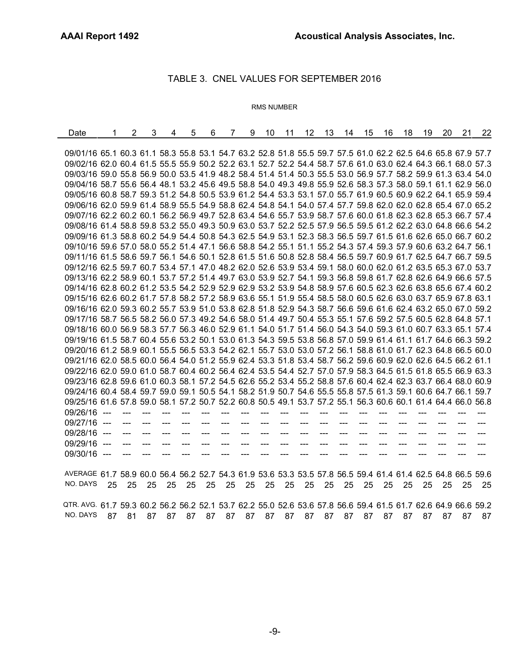#### TABLE 2. CNEL VALUES FOR AUGUST 2016

#### RMS NUMBER

Date 1 2 3 4 5 6 7 9 10 11 12 13 14 15 16 18 19 20 21 22 08/01/16 62.5 60.6 61.2 58.1 54.5 47.3 50.9 61.5 54.9 55.3 53.8 58.0 57.9 60.0 62.5 60.9 63.5 66.1 67.5 57.3 08/02/16 62.5 59.6 60.4 57.0 55.4 53.2 53.3 63.3 56.7 51.0 55.4 59.6 56.7 60.3 61.4 62.3 63.2 65.0 66.9 59.3 08/03/16 62.1 59.9 60.5 54.9 55.5 50.6 54.4 63.0 54.9 52.9 54.1 58.6 57.1 60.3 61.6 62.1 63.6 65.1 67.1 59.9 08/04/16 61.7 59.4 60.4 54.9 55.8 50.6 52.1 63.5 54.6 54.4 52.7 58.5 56.8 59.3 61.7 62.8 62.9 65.0 67.0 57.4 08/05/16 62.1 60.1 61.1 57.8 56.1 52.7 57.7 63.0 53.5 50.0 53.7 58.2 57.2 60.3 62.5 62.3 63.7 65.7 67.8 62.9 08/06/16 59.9 57.4 57.9 52.1 52.0 46.3 48.6 59.8 50.0 48.0 51.0 56.1 54.4 57.5 60.5 61.2 60.8 62.9 64.8 52.2 08/07/16 60.7 57.9 58.3 54.6 53.3 46.9 54.2 61.6 52.9 49.2 51.5 56.8 54.6 58.4 59.5 60.9 61.7 63.6 65.6 59.3 08/08/16 62.9 62.3 62.1 53.2 55.6 46.2 50.8 61.7 52.5 51.6 54.2 58.5 59.9 60.4 64.6 60.8 63.4 67.0 67.5 56.7 08/09/16 61.8 60.1 60.9 54.5 56.4 56.9 55.2 63.2 53.4 50.6 53.6 59.1 57.3 59.6 61.7 62.6 62.8 65.2 66.5 60.5 08/10/16 62.9 62.0 62.6 55.2 57.0 52.4 54.1 63.3 52.8 52.8 54.4 58.4 58.7 60.7 63.3 62.7 63.8 66.8 68.0 59.0 08/11/16 61.6 58.1 62.2 52.9 55.5 51.3 52.7 63.4 53.8 54.9 52.3 58.6 55.4 59.0 60.2 63.1 62.1 64.0 65.9 59.1 08/12/16 62.5 55.9 61.1 60.8 56.9 49.5 53.2 62.0 51.7 51.2 54.3 58.1 57.0 61.0 61.8 61.5 64.0 65.5 67.5 59.5 08/13/16 60.8 59.0 60.8 56.3 52.1 49.1 50.2 58.3 51.1 47.6 52.8 55.4 57.3 59.4 62.1 58.3 62.8 65.4 67.1 56.3 08/14/16 59.3 --- 59.0 47.6 51.2 45.3 52.2 60.1 51.7 50.0 50.8 54.8 55.4 57.6 60.3 60.2 61.2 63.8 65.3 58.3 08/15/16 61.4 --- 61.1 54.0 54.2 47.4 55.3 60.8 53.3 54.7 52.8 56.4 57.6 59.0 62.1 60.4 62.8 65.7 67.0 56.6 08/16/16 61.7 --- 60.4 57.7 55.9 49.8 52.5 64.0 53.1 53.0 54.0 57.9 56.8 59.1 61.7 63.3 62.7 65.4 66.9 54.3 08/17/16 61.3 --- 58.7 53.9 56.2 53.0 53.8 63.3 53.0 56.7 58.6 57.0 55.6 57.7 60.5 62.4 61.7 65.1 66.3 58.3 08/18/16 62.9 58.9 60.7 58.6 55.3 52.8 56.2 63.6 62.1 54.3 54.5 58.9 57.0 59.9 61.8 63.4 63.6 66.0 67.6 62.2 08/19/16 62.5 60.1 61.0 58.8 55.9 51.3 54.5 62.7 56.8 54.1 54.8 58.7 57.2 60.5 62.0 62.2 63.8 66.1 67.7 59.4 08/20/16 61.3 56.0 59.9 55.4 54.5 50.7 53.6 60.6 57.4 49.5 52.8 56.8 55.9 58.1 60.5 59.8 61.1 63.8 65.5 61.7 08/21/16 61.7 64.6 61.0 54.4 53.8 48.5 52.4 61.4 51.6 51.8 55.3 56.9 56.9 59.7 61.7 60.7 62.8 65.7 67.2 57.4 08/22/16 63.1 --- 60.8 57.5 55.0 47.0 51.4 62.1 52.2 56.1 54.5 58.3 57.1 59.9 61.9 61.6 63.3 65.8 67.3 57.9 08/23/16 62.5 --- 59.8 55.6 55.1 50.7 55.0 63.5 52.8 52.9 54.3 59.5 56.3 59.7 60.9 63.2 62.9 64.7 66.4 60.9 08/24/16 62.5 60.1 59.7 56.2 53.0 49.6 50.3 63.5 54.6 52.8 53.8 58.2 56.0 59.2 60.7 62.9 62.7 64.4 66.0 56.1 08/25/16 62.6 60.5 61.2 57.5 55.8 49.8 51.8 63.7 54.4 54.9 55.2 59.2 57.4 61.0 62.1 63.0 64.1 65.9 67.6 56.5 08/26/16 62.2 60.6 61.9 54.3 57.8 51.8 56.2 63.6 53.4 52.5 53.7 58.1 58.1 60.6 62.9 62.8 63.4 66.0 67.6 65.6 08/27/16 59.4 57.5 58.5 51.0 54.3 47.3 51.8 59.2 50.8 48.0 51.2 56.1 55.9 58.4 60.3 58.8 61.4 63.2 64.9 59.7 08/28/16 60.2 59.0 60.8 52.8 51.9 48.1 50.6 60.3 51.7 46.3 51.4 56.1 56.5 59.0 62.4 59.7 62.0 65.3 66.6 56.5 08/29/16 61.1 58.9 59.9 55.6 53.2 46.4 51.6 60.6 49.5 48.3 52.4 56.7 56.3 58.9 61.0 60.2 62.6 64.4 66.0 55.9 08/30/16 62.4 59.4 60.9 59.3 55.7 52.8 53.7 62.1 53.0 52.5 53.6 57.7 57.3 59.8 61.8 61.9 62.9 65.0 66.6 58.0 08/31/16 62.5 59.5 61.0 56.6 54.3 52.0 50.0 62.3 51.5 52.1 53.9 57.7 57.1 59.5 62.0 62.2 62.8 65.4 67.0 56.7

| AVERAGE 61.9 59.9 60.6 56.2 55.1 50.8 53.4 62.3 54.3 52.7 53.9 57.9 56.9 59.6 61.7 61.8 62.9 65.2 66.8 59.3 |  |  |  |  |  |  |  |  |  |  |
|-------------------------------------------------------------------------------------------------------------|--|--|--|--|--|--|--|--|--|--|
|                                                                                                             |  |  |  |  |  |  |  |  |  |  |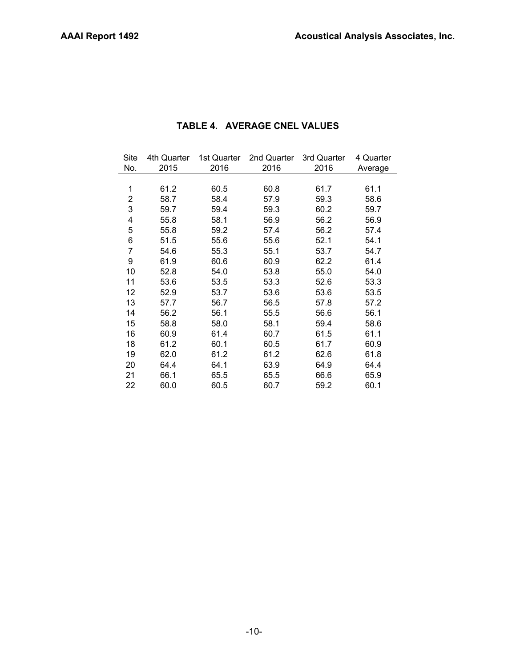## TABLE 3. CNEL VALUES FOR SEPTEMBER 2016

#### RMS NUMBER

| Date                                                                                                          | 1  | $\overline{2}$ | 3  | 4    | 5   | 6   | $\overline{7}$ | 9   | 10  | 11    |       | 12 13 | 14  | 15    | 16    | 18 | 19   | 20  | 21 | 22   |
|---------------------------------------------------------------------------------------------------------------|----|----------------|----|------|-----|-----|----------------|-----|-----|-------|-------|-------|-----|-------|-------|----|------|-----|----|------|
|                                                                                                               |    |                |    |      |     |     |                |     |     |       |       |       |     |       |       |    |      |     |    |      |
| 09/01/16 65.1 60.3 61.1 58.3 55.8 53.1 54.7 63.2 52.8 51.8 55.5 59.7 57.5 61.0 62.2 62.5 64.6 65.8 67.9 57.7  |    |                |    |      |     |     |                |     |     |       |       |       |     |       |       |    |      |     |    |      |
| 09/02/16 62.0 60.4 61.5 55.5 55.9 50.2 52.2 63.1 52.7 52.2 54.4 58.7 57.6 61.0 63.0 62.4 64.3 66.1 68.0 57.3  |    |                |    |      |     |     |                |     |     |       |       |       |     |       |       |    |      |     |    |      |
| 09/03/16 59.0 55.8 56.9 50.0 53.5 41.9 48.2 58.4 51.4 51.4 50.3 55.5 53.0 56.9 57.7 58.2 59.9 61.3 63.4 54.0  |    |                |    |      |     |     |                |     |     |       |       |       |     |       |       |    |      |     |    |      |
| 09/04/16 58.7 55.6 56.4 48.1 53.2 45.6 49.5 58.8 54.0 49.3 49.8 55.9 52.6 58.3 57.3 58.0 59.1 61.1 62.9 56.0  |    |                |    |      |     |     |                |     |     |       |       |       |     |       |       |    |      |     |    |      |
| 09/05/16 60.8 58.7 59.3 51.2 54.8 50.5 53.9 61.2 54.4 53.3 53.1 57.0 55.7 61.9 60.5 60.9 62.2 64.1 65.9 59.4  |    |                |    |      |     |     |                |     |     |       |       |       |     |       |       |    |      |     |    |      |
| 09/06/16 62.0 59.9 61.4 58.9 55.5 54.9 58.8 62.4 54.8 54.1 54.0 57.4 57.7 59.8 62.0 62.0 62.8 65.4 67.0 65.2  |    |                |    |      |     |     |                |     |     |       |       |       |     |       |       |    |      |     |    |      |
| 09/07/16 62.2 60.2 60.1 56.2 56.9 49.7 52.8 63.4 54.6 55.7 53.9 58.7 57.6 60.0 61.8 62.3 62.8 65.3 66.7 57.4  |    |                |    |      |     |     |                |     |     |       |       |       |     |       |       |    |      |     |    |      |
| 09/08/16 61.4 58.8 59.8 53.2 55.0 49.3 50.9 63.0 53.7 52.2 52.5 57.9 56.5 59.5 61.2 62.2 63.0 64.8 66.6 54.2  |    |                |    |      |     |     |                |     |     |       |       |       |     |       |       |    |      |     |    |      |
| 09/09/16 61.3 58.8 60.2 54.9 54.4 50.8 54.3 62.5 54.9 53.1 52.3 58.3 56.5 59.7 61.5 61.6 62.6 65.0 66.7 60.2  |    |                |    |      |     |     |                |     |     |       |       |       |     |       |       |    |      |     |    |      |
| 09/10/16 59.6 57.0 58.0 55.2 51.4 47.1 56.6 58.8 54.2 55.1 51.1 55.2 54.3 57.4 59.3 57.9 60.6 63.2 64.7 56.1  |    |                |    |      |     |     |                |     |     |       |       |       |     |       |       |    |      |     |    |      |
| 09/11/16 61.5 58.6 59.7 56.1 54.6 50.1 52.8 61.5 51.6 50.8 52.8 58.4 56.5 59.7 60.9 61.7 62.5 64.7 66.7 59.5  |    |                |    |      |     |     |                |     |     |       |       |       |     |       |       |    |      |     |    |      |
| 09/12/16 62.5 59.7 60.7 53.4 57.1 47.0 48.2 62.0 52.6 53.9 53.4 59.1 58.0 60.0 62.0 61.2 63.5 65.3 67.0 53.7  |    |                |    |      |     |     |                |     |     |       |       |       |     |       |       |    |      |     |    |      |
| 09/13/16 62.2 58.9 60.1 53.7 57.2 51.4 49.7 63.0 53.9 52.7 54.1 59.3 56.8 59.8 61.7 62.8 62.6 64.9 66.6 57.5  |    |                |    |      |     |     |                |     |     |       |       |       |     |       |       |    |      |     |    |      |
| 09/14/16 62.8 60.2 61.2 53.5 54.2 52.9 52.9 62.9 53.2 53.9 54.8 58.9 57.6 60.5 62.3 62.6 63.8 65.6 67.4 60.2  |    |                |    |      |     |     |                |     |     |       |       |       |     |       |       |    |      |     |    |      |
| 09/15/16 62.6 60.2 61.7 57.8 58.2 57.2 58.9 63.6 55.1 51.9 55.4 58.5 58.0 60.5 62.6 63.0 63.7 65.9 67.8 63.1  |    |                |    |      |     |     |                |     |     |       |       |       |     |       |       |    |      |     |    |      |
| 09/16/16 62.0 59.3 60.2 55.7 53.9 51.0 53.8 62.8 51.8 52.9 54.3 58.7 56.6 59.6 61.6 62.4 63.2 65.0 67.0 59.2  |    |                |    |      |     |     |                |     |     |       |       |       |     |       |       |    |      |     |    |      |
| 09/17/16 58.7 56.5 58.2 56.0 57.3 49.2 54.6 58.0 51.4 49.7 50.4 55.3 55.1 57.6 59.2 57.5 60.5 62.8 64.8 57.1  |    |                |    |      |     |     |                |     |     |       |       |       |     |       |       |    |      |     |    |      |
| 09/18/16 60.0 56.9 58.3 57.7 56.3 46.0 52.9 61.1 54.0 51.7 51.4 56.0 54.3 54.0 59.3 61.0 60.7 63.3 65.1 57.4  |    |                |    |      |     |     |                |     |     |       |       |       |     |       |       |    |      |     |    |      |
| 09/19/16 61.5 58.7 60.4 55.6 53.2 50.1 53.0 61.3 54.3 59.5 53.8 56.8 57.0 59.9 61.4 61.1 61.7 64.6 66.3 59.2  |    |                |    |      |     |     |                |     |     |       |       |       |     |       |       |    |      |     |    |      |
| 09/20/16 61.2 58.9 60.1 55.5 56.5 53.3 54.2 62.1 55.7 53.0 53.0 57.2 56.1 58.8 61.0 61.7 62.3 64.8 66.5 60.0  |    |                |    |      |     |     |                |     |     |       |       |       |     |       |       |    |      |     |    |      |
| 09/21/16 62.0 58.5 60.0 56.4 54.0 51.2 55.9 62.4 53.3 51.8 53.4 58.7 56.2 59.6 60.9 62.0 62.6 64.5 66.2 61.1  |    |                |    |      |     |     |                |     |     |       |       |       |     |       |       |    |      |     |    |      |
| 09/22/16 62.0 59.0 61.0 58.7 60.4 60.2 56.4 62.4 53.5 54.4 52.7 57.0 57.9 58.3 64.5 61.5 61.8 65.5 66.9 63.3  |    |                |    |      |     |     |                |     |     |       |       |       |     |       |       |    |      |     |    |      |
| 09/23/16 62.8 59.6 61.0 60.3 58.1 57.2 54.5 62.6 55.2 53.4 55.2 58.8 57.6 60.4 62.4 62.3 63.7 66.4 68.0 60.9  |    |                |    |      |     |     |                |     |     |       |       |       |     |       |       |    |      |     |    |      |
| 09/24/16 60.4 58.4 59.7 59.0 59.1 50.5 54.1 58.2 51.9 50.7 54.6 55.5 55.8 57.5 61.3 59.1 60.6 64.7 66.1 59.7  |    |                |    |      |     |     |                |     |     |       |       |       |     |       |       |    |      |     |    |      |
| 09/25/16 61.6 57.8 59.0 58.1 57.2 50.7 52.2 60.8 50.5 49.1 53.7 57.2 55.1 56.3 60.6 60.1 61.4 64.4 66.0 56.8  |    |                |    |      |     |     |                |     |     |       |       |       |     |       |       |    |      |     |    |      |
| 09/26/16 ---                                                                                                  |    | $---$          |    | ---  | --- | --- | ---            | --- | --- | $---$ | ---   | ---   | --- | $---$ | ---   |    |      |     |    |      |
| 09/27/16 ---                                                                                                  |    | ---            |    | ---  | --- |     |                | --- | --- | ---   | ---   | ---   | --- |       | ---   |    |      | --- |    |      |
| 09/28/16 ---                                                                                                  |    | $\overline{a}$ |    |      | --- |     | ---            | --- | --- |       | ---   |       | --- |       | ---   |    |      | --- |    |      |
| 09/29/16 ---                                                                                                  |    | $---$          |    |      | --- |     |                |     |     |       |       |       |     |       |       |    |      |     |    |      |
| 09/30/16 ---                                                                                                  |    | $---$          |    |      |     |     |                |     |     |       |       |       |     |       |       |    |      |     |    |      |
|                                                                                                               |    |                |    |      |     |     |                |     |     |       |       |       |     |       |       |    |      |     |    |      |
| AVERAGE 61.7 58.9 60.0 56.4 56.2 52.7 54.3 61.9 53.6 53.3 53.5 57.8 56.5 59.4 61.4 61.4 62.5 64.8 66.5 59.6   |    |                |    |      |     |     |                |     |     |       |       |       |     |       |       |    |      |     |    |      |
| NO. DAYS                                                                                                      | 25 | - 25           | 25 | - 25 | 25  | 25  | - 25           | 25  |     | 25 25 | 25    | 25    | 25  |       | 25 25 | 25 | - 25 | 25  | 25 | - 25 |
|                                                                                                               |    |                |    |      |     |     |                |     |     |       |       |       |     |       |       |    |      |     |    |      |
| QTR. AVG. 61.7 59.3 60.2 56.2 56.2 52.1 53.7 62.2 55.0 52.6 53.6 57.8 56.6 59.4 61.5 61.7 62.6 64.9 66.6 59.2 |    |                |    |      |     |     |                |     |     |       |       |       |     |       |       |    |      |     |    |      |
| NO. DAYS                                                                                                      | 87 | 81             | 87 | 87   | 87  |     | 87 87          | 87  | 87  |       | 87 87 | 87    | 87  |       | 87 87 | 87 | 87   | 87  | 87 | 87   |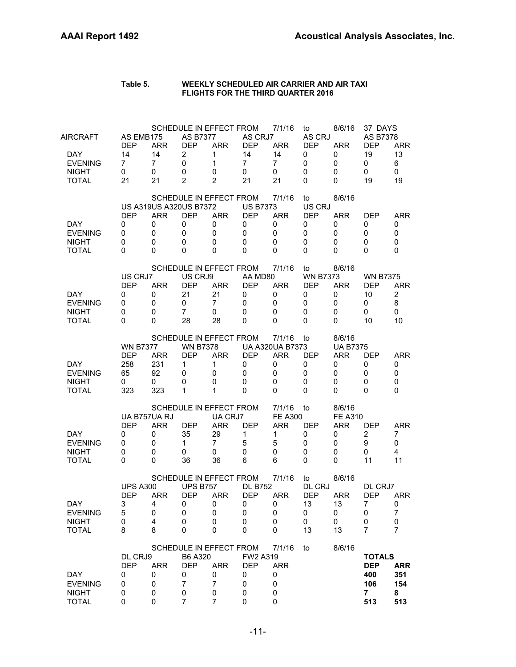| Site | 4th Quarter | 1st Quarter | 2nd Quarter | 3rd Quarter | 4 Quarter |
|------|-------------|-------------|-------------|-------------|-----------|
| No.  | 2015        | 2016        | 2016        | 2016        | Average   |
|      |             |             |             |             |           |
| 1    | 61.2        | 60.5        | 60.8        | 61.7        | 61.1      |
| 2    | 58.7        | 58.4        | 57.9        | 59.3        | 58.6      |
| 3    | 59.7        | 59.4        | 59.3        | 60.2        | 59.7      |
| 4    | 55.8        | 58.1        | 56.9        | 56.2        | 56.9      |
| 5    | 55.8        | 59.2        | 57.4        | 56.2        | 57.4      |
| 6    | 51.5        | 55.6        | 55.6        | 52.1        | 54.1      |
| 7    | 54.6        | 55.3        | 55.1        | 53.7        | 54.7      |
| 9    | 61.9        | 60.6        | 60.9        | 62.2        | 61.4      |
| 10   | 52.8        | 54.0        | 53.8        | 55.0        | 54.0      |
| 11   | 53.6        | 53.5        | 53.3        | 52.6        | 53.3      |
| 12   | 52.9        | 53.7        | 53.6        | 53.6        | 53.5      |
| 13   | 57.7        | 56.7        | 56.5        | 57.8        | 57.2      |
| 14   | 56.2        | 56.1        | 55.5        | 56.6        | 56.1      |
| 15   | 58.8        | 58.0        | 58.1        | 59.4        | 58.6      |
| 16   | 60.9        | 61.4        | 60.7        | 61.5        | 61.1      |
| 18   | 61.2        | 60.1        | 60.5        | 61.7        | 60.9      |
| 19   | 62.0        | 61.2        | 61.2        | 62.6        | 61.8      |
| 20   | 64.4        | 64.1        | 63.9        | 64.9        | 64.4      |
| 21   | 66.1        | 65.5        | 65.5        | 66.6        | 65.9      |
| 22   | 60.0        | 60.5        | 60.7        | 59.2        | 60.1      |

## **TABLE 4. AVERAGE CNEL VALUES**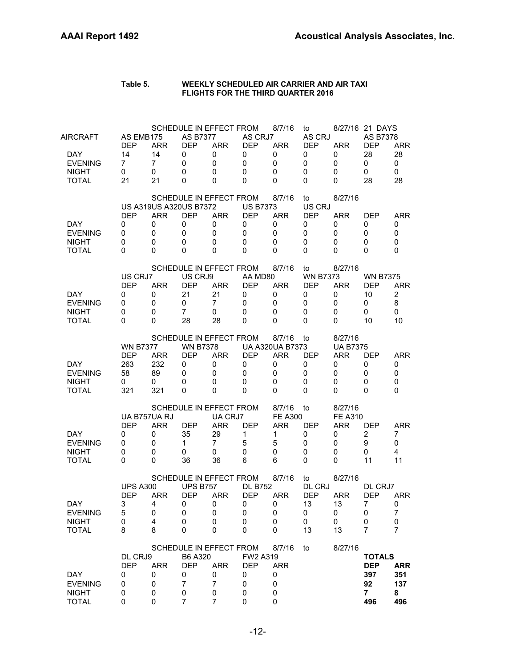#### **Table 5. WEEKLY SCHEDULED AIR CARRIER AND AIR TAXI FLIGHTS FOR THE THIRD QUARTER 2016**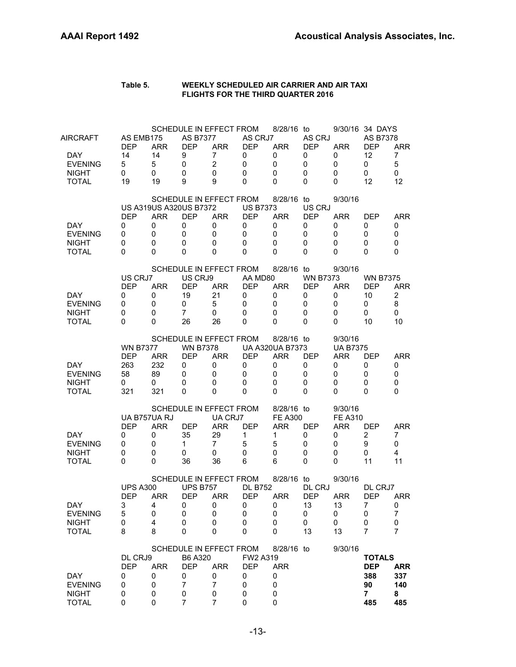#### **Table 5. WEEKLY SCHEDULED AIR CARRIER AND AIR TAXI FLIGHTS FOR THE THIRD QUARTER 2016**

| DAY<br><b>EVENING</b><br><b>NIGHT</b><br><b>TOTAL</b>                    | DL CRJ9<br><b>DEP</b><br>0<br>0<br>0<br>0                  | <b>ARR</b><br>0<br>0<br>0<br>0                                  | B6 A320<br><b>DEP</b><br>0<br>$\overline{7}$<br>0<br>7   | <b>ARR</b><br>0<br>$\overline{7}$<br>0<br>7                                         | FW2 A319<br><b>DEP</b><br>0<br>0<br>0<br>$\mathbf 0$       | <b>ARR</b><br>0<br>0<br>0<br>0                                     |                                                         |                                                              | <b>TOTALS</b><br><b>DEP</b><br>397<br>92<br>$\overline{7}$<br>496 | <b>ARR</b><br>351<br>137<br>8<br>496                  |
|--------------------------------------------------------------------------|------------------------------------------------------------|-----------------------------------------------------------------|----------------------------------------------------------|-------------------------------------------------------------------------------------|------------------------------------------------------------|--------------------------------------------------------------------|---------------------------------------------------------|--------------------------------------------------------------|-------------------------------------------------------------------|-------------------------------------------------------|
| DAY<br><b>EVENING</b><br><b>NIGHT</b><br><b>TOTAL</b>                    | <b>UPS A300</b><br><b>DEP</b><br>3<br>5<br>0<br>8          | ARR<br>4<br>0<br>4<br>8                                         | <b>UPS B757</b><br><b>DEP</b><br>0<br>0<br>0<br>0        | SCHEDULE IN EFFECT FROM<br>ARR<br>0<br>0<br>0<br>0<br>SCHEDULE IN EFFECT FROM       | <b>DL B752</b><br><b>DEP</b><br>0<br>0<br>0<br>0           | 8/7/16<br>ARR<br>0<br>0<br>0<br>0<br>8/7/16                        | to<br>DL CRJ<br><b>DEP</b><br>13<br>0<br>0<br>13<br>to  | 8/27/16<br><b>ARR</b><br>13<br>0<br>0<br>13<br>8/27/16       | DL CRJ7<br><b>DEP</b><br>7<br>0<br>0<br>$\overline{7}$            | <b>ARR</b><br>0<br>$\boldsymbol{7}$<br>$\pmb{0}$<br>7 |
| DAY.<br><b>EVENING</b><br><b>NIGHT</b><br><b>TOTAL</b>                   | <b>DEP</b><br>0<br>0<br>0<br>$\Omega$                      | UA B757UA RJ<br><b>ARR</b><br>0<br>0<br>0<br>0                  | <b>DEP</b><br>35<br>$\mathbf{1}$<br>0<br>36              | SCHEDULE IN EFFECT FROM<br>UA CRJ7<br><b>ARR</b><br>29<br>$\overline{7}$<br>0<br>36 | <b>DEP</b><br>1<br>5<br>0<br>6                             | 8/7/16<br><b>FE A300</b><br>ARR<br>1<br>5<br>0<br>6                | to<br>DEP<br>0<br>0<br>0<br>0                           | 8/27/16<br><b>FE A310</b><br><b>ARR</b><br>0<br>0<br>0<br>0  | DEP<br>$\overline{c}$<br>9<br>0<br>11                             | <b>ARR</b><br>7<br>0<br>4<br>11                       |
| DAY<br><b>EVENING</b><br><b>NIGHT</b><br>TOTAL                           | <b>WN B7377</b><br><b>DEP</b><br>263<br>58<br>0<br>321     | <b>ARR</b><br>232<br>89<br>0<br>321                             | <b>WN B7378</b><br><b>DEP</b><br>0<br>0<br>0<br>0        | SCHEDULE IN EFFECT FROM<br><b>ARR</b><br>0<br>0<br>0<br>0                           | <b>DEP</b><br>0<br>0<br>0<br>0                             | 8/7/16<br><b>UA A320UA B7373</b><br><b>ARR</b><br>0<br>0<br>0<br>0 | to<br><b>DEP</b><br>0<br>0<br>0<br>0                    | 8/27/16<br><b>UA B7375</b><br><b>ARR</b><br>0<br>0<br>0<br>0 | <b>DEP</b><br>0<br>0<br>0<br>0                                    | <b>ARR</b><br>0<br>0<br>0<br>0                        |
| <b>DAY</b><br><b>EVENING</b><br><b>NIGHT</b><br><b>TOTAL</b>             | US CRJ7<br><b>DEP</b><br>0<br>0<br>0<br>0                  | <b>ARR</b><br>0<br>0<br>0<br>0                                  | US CRJ9<br><b>DEP</b><br>21<br>0<br>$\overline{7}$<br>28 | SCHEDULE IN EFFECT FROM<br><b>ARR</b><br>21<br>7<br>0<br>28                         | AA MD80<br><b>DEP</b><br>0<br>0<br>0<br>0                  | 8/7/16<br><b>ARR</b><br>0<br>0<br>0<br>0                           | to<br><b>WN B7373</b><br><b>DEP</b><br>0<br>0<br>0<br>0 | 8/27/16<br><b>ARR</b><br>0<br>0<br>0<br>0                    | <b>WN B7375</b><br><b>DEP</b><br>10<br>0<br>0<br>10               | <b>ARR</b><br>$\overline{2}$<br>8<br>0<br>10          |
| DAY.<br><b>EVENING</b><br><b>NIGHT</b><br><b>TOTAL</b>                   | <b>DEP</b><br>0<br>0<br>0<br>0                             | <b>US A319US A320US B7372</b><br><b>ARR</b><br>0<br>0<br>0<br>0 | <b>DEP</b><br>0<br>0<br>0<br>0                           | SCHEDULE IN EFFECT FROM<br><b>ARR</b><br>0<br>0<br>0<br>0                           | <b>US B7373</b><br><b>DEP</b><br>0<br>0<br>0<br>$\Omega$   | 8/7/16<br><b>ARR</b><br>0<br>0<br>0<br>0                           | to<br>US CRJ<br><b>DEP</b><br>0<br>0<br>0<br>0          | 8/27/16<br><b>ARR</b><br>0<br>0<br>0<br>0                    | DEP<br>0<br>0<br>0<br>0                                           | <b>ARR</b><br>0<br>0<br>0<br>0                        |
| AIRCRAFT<br><b>DAY</b><br><b>EVENING</b><br><b>NIGHT</b><br><b>TOTAL</b> | AS EMB175<br><b>DEP</b><br>14<br>$\overline{7}$<br>0<br>21 | <b>ARR</b><br>14<br>7<br>0<br>21                                | <b>AS B7377</b><br><b>DEP</b><br>0<br>0<br>0<br>0        | SCHEDULE IN EFFECT FROM<br><b>ARR</b><br>0<br>$\mathbf 0$<br>0<br>0                 | AS CRJ7<br><b>DEP</b><br>0<br>$\mathbf 0$<br>0<br>$\Omega$ | 8/7/16<br><b>ARR</b><br>0<br>$\mathbf 0$<br>0<br>0                 | to<br>AS CRJ<br><b>DEP</b><br>0<br>0<br>0<br>0          | <b>ARR</b><br>0<br>0<br>0<br>0                               | 8/27/16 21 DAYS<br>AS B7378<br><b>DEP</b><br>28<br>0<br>0<br>28   | <b>ARR</b><br>28<br>0<br>0<br>28                      |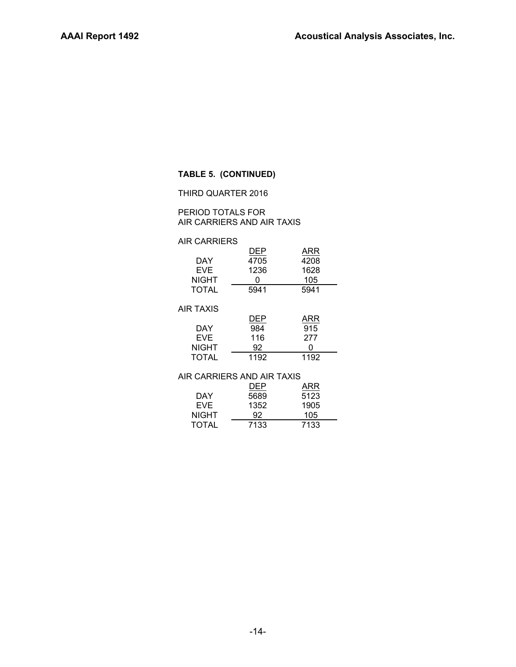| Table 5. | WEEKLY SCHEDULED AIR CARRIER AND AIR TAXI |
|----------|-------------------------------------------|
|          | <b>FLIGHTS FOR THE THIRD QUARTER 2016</b> |

| AIRCRAFT<br>DAY.<br><b>EVENING</b><br><b>NIGHT</b><br><b>TOTAL</b> | AS EMB175<br><b>DEP</b><br>14<br>5<br>0<br>19          | <b>ARR</b><br>14<br>5<br>0<br>19         | <b>AS B7377</b><br><b>DEP</b><br>9<br>0<br>0<br>9                         | SCHEDULE IN EFFECT FROM<br><b>ARR</b><br>7<br>$\overline{2}$<br>0<br>9 | AS CRJ7<br><b>DEP</b><br>0<br>$\mathbf 0$<br>0<br>0                          | 8/28/16 to<br><b>ARR</b><br>0<br>0<br>0<br>$\Omega$                     | AS CRJ<br><b>DEP</b><br>0<br>0<br>0<br>$\Omega$             | <b>ARR</b><br>0<br>0<br>0<br>$\Omega$                        | 9/30/16 34 DAYS<br><b>AS B7378</b><br><b>DEP</b><br>12<br>0<br>0<br>12 | <b>ARR</b><br>7<br>5<br>0<br>12              |
|--------------------------------------------------------------------|--------------------------------------------------------|------------------------------------------|---------------------------------------------------------------------------|------------------------------------------------------------------------|------------------------------------------------------------------------------|-------------------------------------------------------------------------|-------------------------------------------------------------|--------------------------------------------------------------|------------------------------------------------------------------------|----------------------------------------------|
| DAY.<br><b>EVENING</b><br><b>NIGHT</b><br><b>TOTAL</b>             | <b>DEP</b><br>0<br>0<br>0<br>0                         | <b>ARR</b><br>0<br>$\mathbf 0$<br>0<br>0 | <b>US A319US A320US B7372</b><br><b>DEP</b><br>0<br>$\mathbf 0$<br>0<br>0 | SCHEDULE IN EFFECT FROM<br><b>ARR</b><br>0<br>0<br>0<br>0              | <b>US B7373</b><br><b>DEP</b><br>0<br>$\mathbf 0$<br>$\mathbf 0$<br>$\Omega$ | 8/28/16 to<br><b>ARR</b><br>0<br>$\mathbf 0$<br>$\mathbf 0$<br>$\Omega$ | US CRJ<br><b>DEP</b><br>0<br>0<br>0<br>$\Omega$             | 9/30/16<br><b>ARR</b><br>0<br>0<br>0<br>0                    | <b>DEP</b><br>0<br>0<br>0<br>$\Omega$                                  | <b>ARR</b><br>0<br>0<br>0<br>0               |
| DAY.<br><b>EVENING</b><br><b>NIGHT</b><br><b>TOTAL</b>             | US CRJ7<br><b>DEP</b><br>0<br>0<br>0<br>0              | <b>ARR</b><br>0<br>0<br>0<br>0           | US CRJ9<br><b>DEP</b><br>19<br>0<br>$\overline{7}$<br>26                  | SCHEDULE IN EFFECT FROM<br><b>ARR</b><br>21<br>5<br>0<br>26            | AA MD80<br><b>DEP</b><br>0<br>$\mathbf 0$<br>0<br>0                          | 8/28/16 to<br><b>ARR</b><br>0<br>0<br>0<br>0                            | <b>WN B7373</b><br><b>DEP</b><br>0<br>$\mathbf 0$<br>0<br>0 | 9/30/16<br><b>ARR</b><br>0<br>0<br>0<br>0                    | <b>WN B7375</b><br><b>DEP</b><br>10<br>0<br>0<br>10                    | <b>ARR</b><br>$\overline{2}$<br>8<br>0<br>10 |
| <b>DAY</b><br><b>EVENING</b><br><b>NIGHT</b><br><b>TOTAL</b>       | <b>WN B7377</b><br><b>DEP</b><br>263<br>58<br>0<br>321 | <b>ARR</b><br>232<br>89<br>0<br>321      | <b>WN B7378</b><br><b>DEP</b><br>0<br>0<br>0<br>0                         | SCHEDULE IN EFFECT FROM<br><b>ARR</b><br>0<br>0<br>0<br>0              | <b>DEP</b><br>0<br>0<br>0<br>0                                               | 8/28/16 to<br><b>UA A320UA B7373</b><br><b>ARR</b><br>0<br>0<br>0<br>0  | <b>DEP</b><br>0<br>0<br>0<br>0                              | 9/30/16<br><b>UA B7375</b><br><b>ARR</b><br>0<br>0<br>0<br>0 | <b>DEP</b><br>0<br>0<br>0<br>0                                         | <b>ARR</b><br>0<br>0<br>0<br>0               |
| DAY.<br><b>EVENING</b><br><b>NIGHT</b><br><b>TOTAL</b>             | UA B757UA RJ<br><b>DEP</b><br>0<br>0<br>0<br>0         | <b>ARR</b><br>0<br>0<br>0<br>0           | <b>DEP</b><br>35<br>1.<br>0<br>36                                         | SCHEDULE IN EFFECT FROM<br>UA CRJ7<br><b>ARR</b><br>29<br>7<br>0<br>36 | <b>DEP</b><br>$\mathbf{1}$<br>5<br>0<br>6                                    | 8/28/16 to<br><b>FE A300</b><br><b>ARR</b><br>1<br>5<br>0<br>6          | <b>DEP</b><br>0<br>0<br>0<br>0                              | 9/30/16<br><b>FE A310</b><br><b>ARR</b><br>0<br>0<br>0<br>0  | <b>DEP</b><br>$\overline{2}$<br>9<br>0<br>11                           | <b>ARR</b><br>7<br>0<br>4<br>11              |
| DAY<br><b>EVENING</b><br><b>NIGHT</b><br><b>TOTAL</b>              | <b>UPS A300</b><br><b>DEP</b><br>3<br>5<br>0<br>8      | ARR<br>4<br>0<br>4<br>8                  | <b>UPS B757</b><br><b>DEP</b><br>0<br>0<br>0<br>0                         | SCHEDULE IN EFFECT FROM<br><b>ARR</b><br>0<br>0<br>0<br>0              | <b>DL B752</b><br><b>DEP</b><br>0<br>0<br>0<br>0                             | 8/28/16 to<br><b>ARR</b><br>0<br>0<br>0<br>0                            | DL CRJ<br><b>DEP</b><br>13<br>0<br>0<br>13                  | 9/30/16<br><b>ARR</b><br>13<br>0<br>0<br>13                  | DL CRJ7<br><b>DEP</b><br>7<br>0<br>0<br>7                              | <b>ARR</b><br>0<br>7<br>0<br>$\overline{7}$  |
| DAY<br><b>EVENING</b><br><b>NIGHT</b><br><b>TOTAL</b>              | DL CRJ9<br><b>DEP</b><br>0<br>0<br>0<br>0              | <b>ARR</b><br>0<br>0<br>0<br>$\mathbf 0$ | B6 A320<br><b>DEP</b><br>0<br>$\overline{7}$<br>0<br>7                    | SCHEDULE IN EFFECT FROM<br><b>ARR</b><br>0<br>$\overline{7}$<br>0<br>7 | FW2 A319<br><b>DEP</b><br>0<br>0<br>0<br>0                                   | 8/28/16 to<br><b>ARR</b><br>0<br>0<br>0<br>0                            |                                                             | 9/30/16                                                      | <b>TOTALS</b><br><b>DEP</b><br>388<br>90<br>$\overline{7}$<br>485      | <b>ARR</b><br>337<br>140<br>8<br>485         |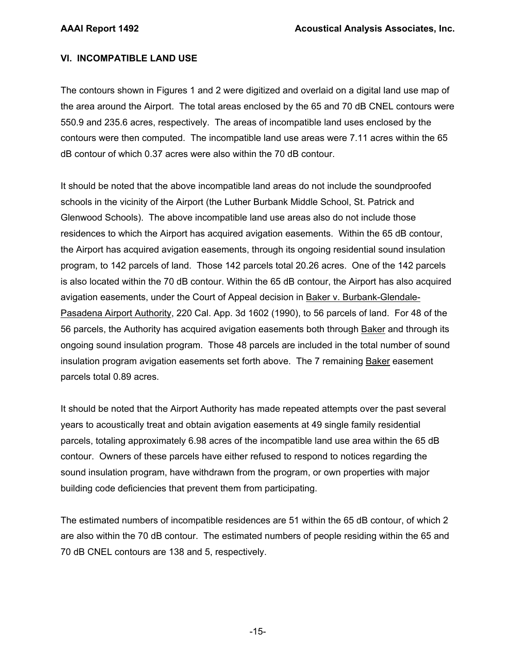#### **TABLE 5. (CONTINUED)**

THIRD QUARTER 2016

#### PERIOD TOTALS FOR AIR CARRIERS AND AIR TAXIS

#### AIR CARRIERS

|              | <b>DEP</b> | ARR  |  |
|--------------|------------|------|--|
| <b>DAY</b>   | 4705       | 4208 |  |
| <b>EVE</b>   | 1236       | 1628 |  |
| NIGHT        |            | 105  |  |
| <b>TOTAL</b> | 5941       | 5941 |  |
| AIR TAXIS    |            |      |  |
|              | DEP        | ARR  |  |
| DAY          | 984        | 915  |  |
| <b>EVE</b>   | 116        | 277  |  |
| NIGHT        | 92         |      |  |
|              |            |      |  |

# TOTAL 1192 1192

#### AIR CARRIERS AND AIR TAXIS

| DAY          | DEP<br>5689 | ARR<br>5123 |
|--------------|-------------|-------------|
|              |             |             |
| <b>EVF</b>   | 1352        | 1905        |
| <b>NIGHT</b> | 92          | 105         |
| <b>TOTAL</b> | 7133        | 7133        |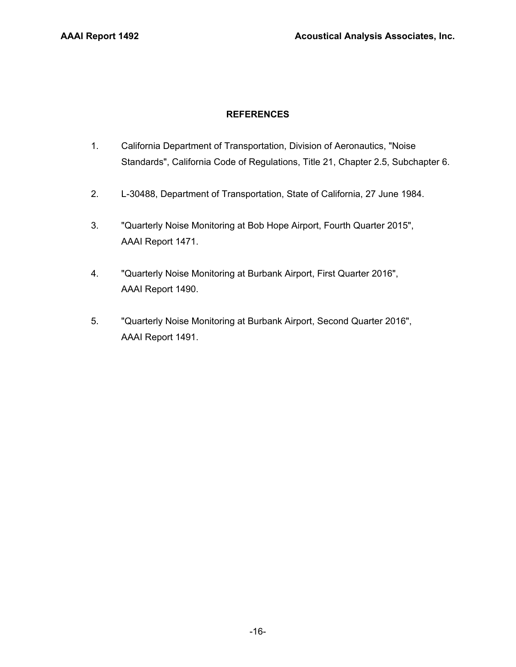#### **VI. INCOMPATIBLE LAND USE**

The contours shown in Figures 1 and 2 were digitized and overlaid on a digital land use map of the area around the Airport. The total areas enclosed by the 65 and 70 dB CNEL contours were 550.9 and 235.6 acres, respectively. The areas of incompatible land uses enclosed by the contours were then computed. The incompatible land use areas were 7.11 acres within the 65 dB contour of which 0.37 acres were also within the 70 dB contour.

It should be noted that the above incompatible land areas do not include the soundproofed schools in the vicinity of the Airport (the Luther Burbank Middle School, St. Patrick and Glenwood Schools). The above incompatible land use areas also do not include those residences to which the Airport has acquired avigation easements. Within the 65 dB contour, the Airport has acquired avigation easements, through its ongoing residential sound insulation program, to 142 parcels of land. Those 142 parcels total 20.26 acres. One of the 142 parcels is also located within the 70 dB contour. Within the 65 dB contour, the Airport has also acquired avigation easements, under the Court of Appeal decision in Baker v. Burbank-Glendale-Pasadena Airport Authority, 220 Cal. App. 3d 1602 (1990), to 56 parcels of land. For 48 of the 56 parcels, the Authority has acquired avigation easements both through Baker and through its ongoing sound insulation program. Those 48 parcels are included in the total number of sound insulation program avigation easements set forth above. The 7 remaining **Baker** easement parcels total 0.89 acres.

It should be noted that the Airport Authority has made repeated attempts over the past several years to acoustically treat and obtain avigation easements at 49 single family residential parcels, totaling approximately 6.98 acres of the incompatible land use area within the 65 dB contour. Owners of these parcels have either refused to respond to notices regarding the sound insulation program, have withdrawn from the program, or own properties with major building code deficiencies that prevent them from participating.

The estimated numbers of incompatible residences are 51 within the 65 dB contour, of which 2 are also within the 70 dB contour. The estimated numbers of people residing within the 65 and 70 dB CNEL contours are 138 and 5, respectively.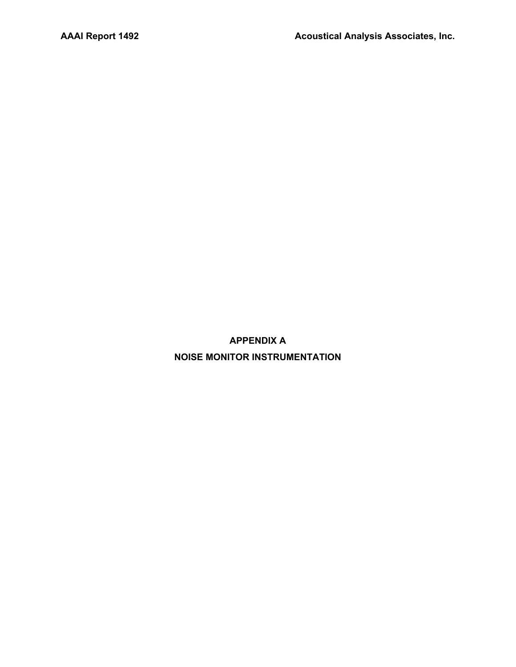#### **REFERENCES**

- 1. California Department of Transportation, Division of Aeronautics, "Noise Standards", California Code of Regulations, Title 21, Chapter 2.5, Subchapter 6.
- 2. L-30488, Department of Transportation, State of California, 27 June 1984.
- 3. "Quarterly Noise Monitoring at Bob Hope Airport, Fourth Quarter 2015", AAAI Report 1471.
- 4. "Quarterly Noise Monitoring at Burbank Airport, First Quarter 2016", AAAI Report 1490.
- 5. "Quarterly Noise Monitoring at Burbank Airport, Second Quarter 2016", AAAI Report 1491.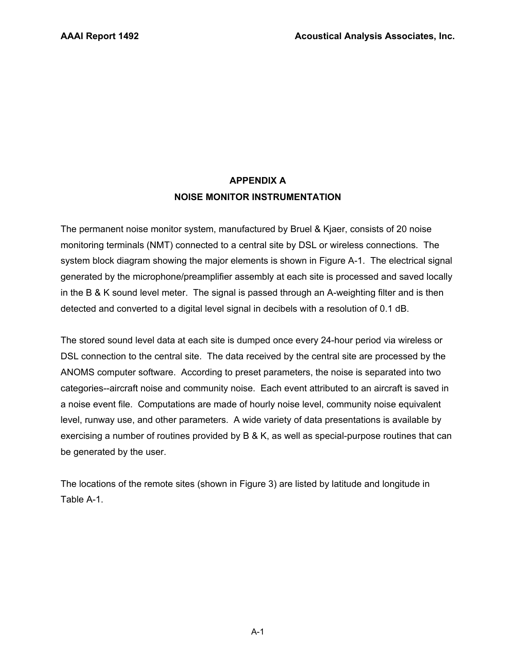**APPENDIX A NOISE MONITOR INSTRUMENTATION**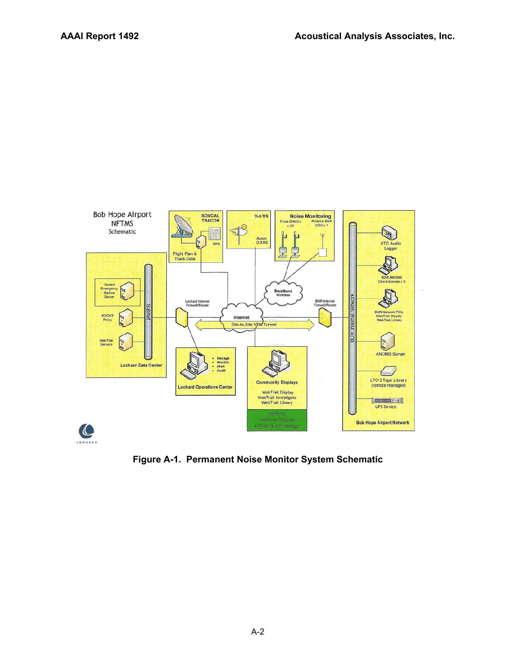## **APPENDIX A NOISE MONITOR INSTRUMENTATION**

The permanent noise monitor system, manufactured by Bruel & Kjaer, consists of 20 noise monitoring terminals (NMT) connected to a central site by DSL or wireless connections. The system block diagram showing the major elements is shown in Figure A-1. The electrical signal generated by the microphone/preamplifier assembly at each site is processed and saved locally in the B & K sound level meter. The signal is passed through an A-weighting filter and is then detected and converted to a digital level signal in decibels with a resolution of 0.1 dB.

The stored sound level data at each site is dumped once every 24-hour period via wireless or DSL connection to the central site. The data received by the central site are processed by the ANOMS computer software. According to preset parameters, the noise is separated into two categories--aircraft noise and community noise. Each event attributed to an aircraft is saved in a noise event file. Computations are made of hourly noise level, community noise equivalent level, runway use, and other parameters. A wide variety of data presentations is available by exercising a number of routines provided by B & K, as well as special-purpose routines that can be generated by the user.

The locations of the remote sites (shown in Figure 3) are listed by latitude and longitude in Table A-1.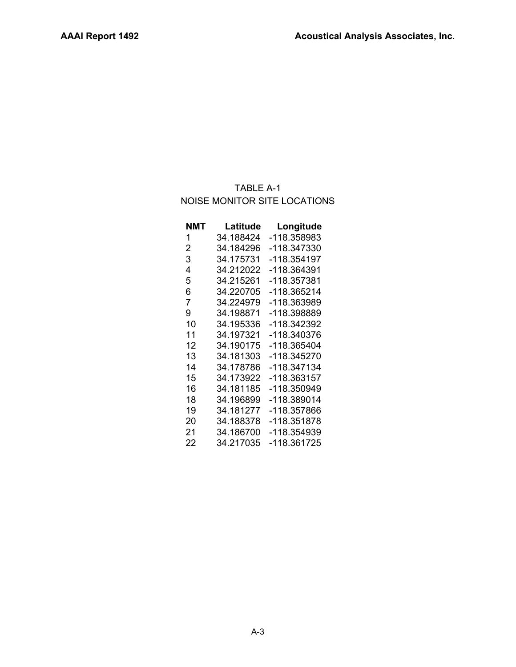

**Figure A-1. Permanent Noise Monitor System Schematic**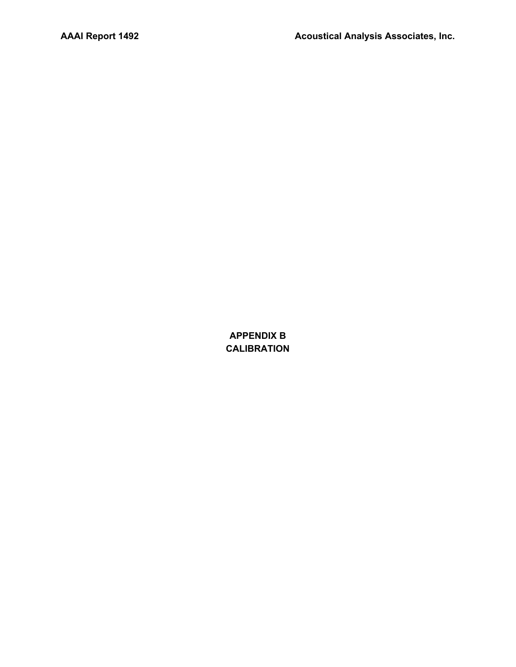## TABLE A-1 NOISE MONITOR SITE LOCATIONS

| NMT | Latitude  | Longitude   |
|-----|-----------|-------------|
| 1   | 34.188424 | -118.358983 |
| 2   | 34.184296 | -118.347330 |
| 3   | 34.175731 | -118.354197 |
| 4   | 34.212022 | -118.364391 |
| 5   | 34.215261 | -118.357381 |
| 6   | 34.220705 | -118.365214 |
| 7   | 34.224979 | -118.363989 |
| 9   | 34.198871 | -118.398889 |
| 10  | 34.195336 | -118.342392 |
| 11  | 34.197321 | -118.340376 |
| 12  | 34.190175 | -118.365404 |
| 13  | 34.181303 | -118.345270 |
| 14  | 34.178786 | -118.347134 |
| 15  | 34.173922 | -118.363157 |
| 16  | 34.181185 | -118.350949 |
| 18  | 34.196899 | -118.389014 |
| 19  | 34.181277 | -118.357866 |
| 20  | 34.188378 | -118.351878 |
| 21  | 34.186700 | -118.354939 |
| 22  | 34.217035 | -118.361725 |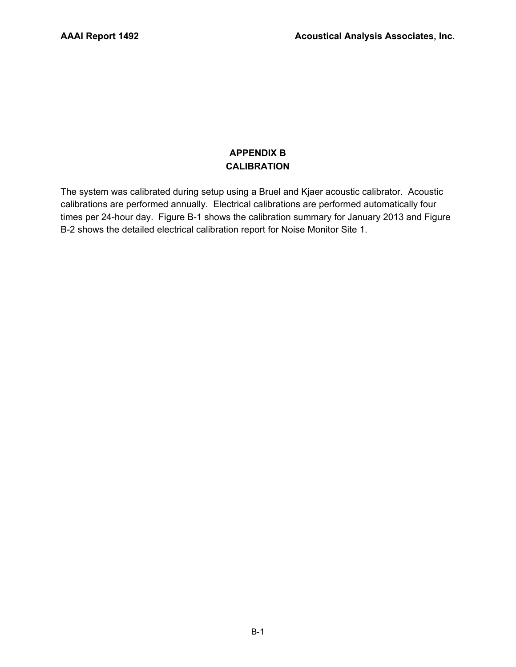**APPENDIX B CALIBRATION**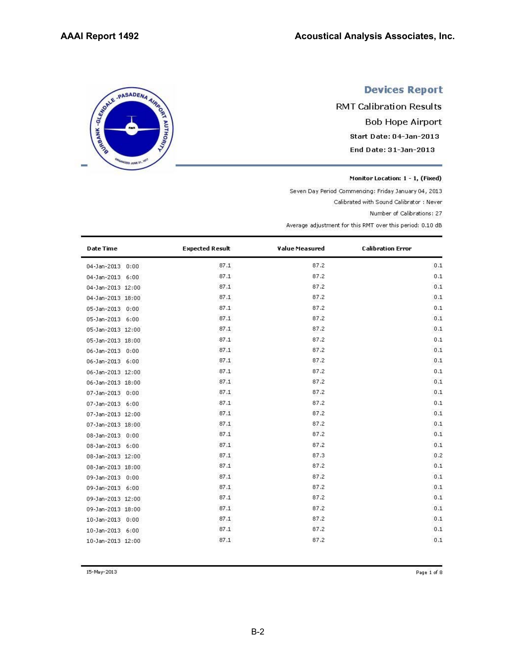## **APPENDIX B CALIBRATION**

The system was calibrated during setup using a Bruel and Kjaer acoustic calibrator. Acoustic calibrations are performed annually. Electrical calibrations are performed automatically four times per 24-hour day. Figure B-1 shows the calibration summary for January 2013 and Figure B-2 shows the detailed electrical calibration report for Noise Monitor Site 1.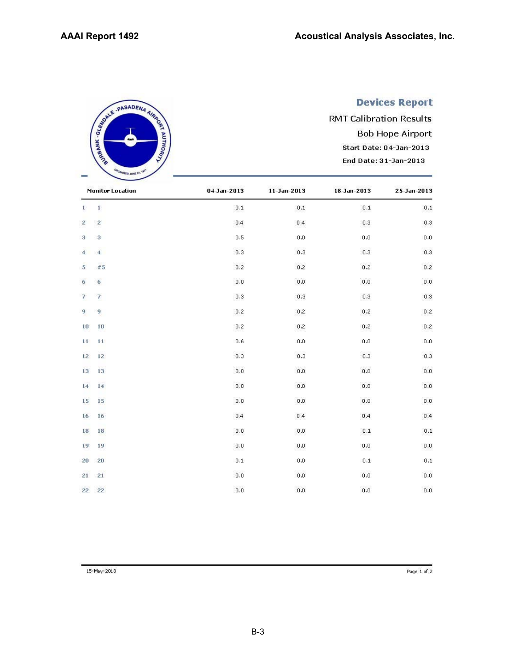SERIE - PASADENA AIRING

ED JUNE 21

# **Devices Report**

**RMT Calibration Results Bob Hope Airport** Start Date: 04-Jan-2013 End Date: 31-Jan-2013

Monitor Location: 1 - 1, (Fixed)

Seven Day Period Commencing: Friday January 04, 2013

Calibrated with Sound Calibrator : Never

Number of Calibrations: 27

Average adjustment for this RMT over this period: 0.10 dB

| <b>Date Time</b>  | <b>Expected Result</b> | Value Measured | <b>Calibration Error</b> |  |
|-------------------|------------------------|----------------|--------------------------|--|
| 04-Jan-2013 0:00  | 87.1                   | 87.2           | 0.1                      |  |
| 04-Jan-2013 6:00  | 87.1                   | 87.2           | 0.1                      |  |
| 04-Jan-2013 12:00 | 87.1                   | 87.2           | 0.1                      |  |
| 04-Jan-2013 18:00 | 87.1                   | 87.2           | 0.1                      |  |
| 05-Jan-2013 0:00  | 87.1                   | 87.2           | 0.1                      |  |
| 05-Jan-2013 6:00  | 87.1                   | 87.2           | 0.1                      |  |
| 05-Jan-2013 12:00 | 87.1                   | 87.2           | 0.1                      |  |
| 05-Jan-2013 18:00 | 87.1                   | 87.2           | 0.1                      |  |
| 06-Jan-2013 0:00  | 87.1                   | 87.2           | 0.1                      |  |
| 06-Jan-2013 6:00  | 87.1                   | 87.2           | 0.1                      |  |
| 06-Jan-2013 12:00 | 87.1                   | 87.2           | 0.1                      |  |
| 06-Jan-2013 18:00 | 87.1                   | 87.2           | 0.1                      |  |
| 07-Jan-2013 0:00  | 87.1                   | 87.2           | 0.1                      |  |
| 07-Jan-2013 6:00  | 87.1                   | 87.2           | 0.1                      |  |
| 07-Jan-2013 12:00 | 87.1                   | 87.2           | 0.1                      |  |
| 07-Jan-2013 18:00 | 87.1                   | 87.2           | 0.1                      |  |
| 08-Jan-2013 0:00  | 87.1                   | 87.2           | 0.1                      |  |
| 08-Jan-2013 6:00  | 87.1                   | 87.2           | 0.1                      |  |
| 08-Jan-2013 12:00 | 87.1                   | 87.3           | 0.2                      |  |
| 08-Jan-2013 18:00 | 87.1                   | 87.2           | 0.1                      |  |
| 09-Jan-2013 0:00  | 87.1                   | 87.2           | 0.1                      |  |
| 09-Jan-2013 6:00  | 87.1                   | 87.2           | 0.1                      |  |
| 09-Jan-2013 12:00 | 87.1                   | 87.2           | 0.1                      |  |
| 09-Jan-2013 18:00 | 87.1                   | 87.2           | 0.1                      |  |
| 10-Jan-2013 0:00  | 87.1                   | 87.2           | 0.1                      |  |
| 10-Jan-2013 6:00  | 87.1                   | 87.2           | 0.1                      |  |
| 10-Jan-2013 12:00 | 87.1                   | 87.2           | 0.1                      |  |

15-May-2013

Page 1 of 8